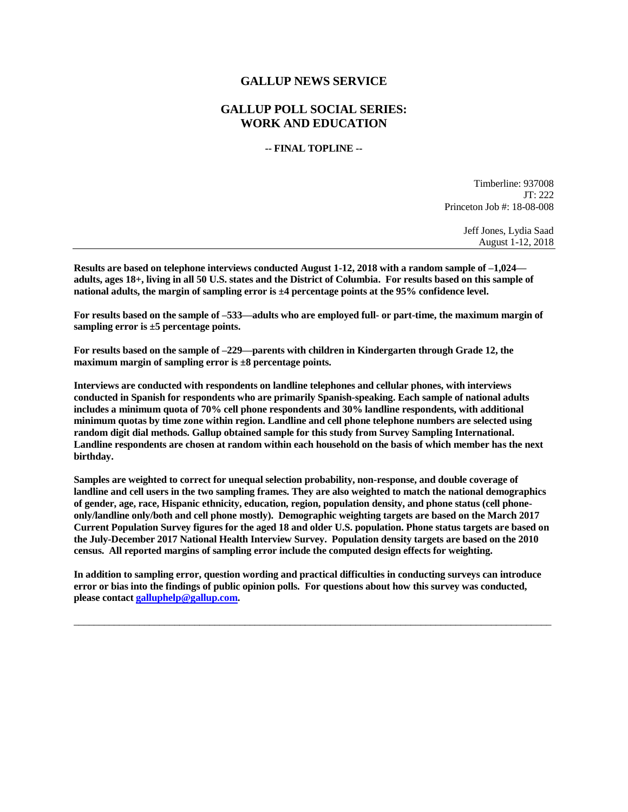## **GALLUP NEWS SERVICE**

## **GALLUP POLL SOCIAL SERIES: WORK AND EDUCATION**

## **-- FINAL TOPLINE --**

Timberline: 937008 JT: 222 Princeton Job #: 18-08-008

> Jeff Jones, Lydia Saad August 1-12, 2018

**Results are based on telephone interviews conducted August 1-12, 2018 with a random sample of –1,024 adults, ages 18+, living in all 50 U.S. states and the District of Columbia. For results based on this sample of national adults, the margin of sampling error is ±4 percentage points at the 95% confidence level.** 

**For results based on the sample of –533—adults who are employed full- or part-time, the maximum margin of sampling error is ±5 percentage points.**

**For results based on the sample of –229—parents with children in Kindergarten through Grade 12, the maximum margin of sampling error is ±8 percentage points.**

**Interviews are conducted with respondents on landline telephones and cellular phones, with interviews conducted in Spanish for respondents who are primarily Spanish-speaking. Each sample of national adults includes a minimum quota of 70% cell phone respondents and 30% landline respondents, with additional minimum quotas by time zone within region. Landline and cell phone telephone numbers are selected using random digit dial methods. Gallup obtained sample for this study from Survey Sampling International. Landline respondents are chosen at random within each household on the basis of which member has the next birthday.**

**Samples are weighted to correct for unequal selection probability, non-response, and double coverage of landline and cell users in the two sampling frames. They are also weighted to match the national demographics of gender, age, race, Hispanic ethnicity, education, region, population density, and phone status (cell phoneonly/landline only/both and cell phone mostly). Demographic weighting targets are based on the March 2017 Current Population Survey figures for the aged 18 and older U.S. population. Phone status targets are based on the July-December 2017 National Health Interview Survey. Population density targets are based on the 2010 census. All reported margins of sampling error include the computed design effects for weighting.** 

**In addition to sampling error, question wording and practical difficulties in conducting surveys can introduce error or bias into the findings of public opinion polls. For questions about how this survey was conducted, please contac[t galluphelp@gallup.com.](mailto:galluphelp@gallup.com)**

 $\overline{\phantom{a}}$  ,  $\overline{\phantom{a}}$  ,  $\overline{\phantom{a}}$  ,  $\overline{\phantom{a}}$  ,  $\overline{\phantom{a}}$  ,  $\overline{\phantom{a}}$  ,  $\overline{\phantom{a}}$  ,  $\overline{\phantom{a}}$  ,  $\overline{\phantom{a}}$  ,  $\overline{\phantom{a}}$  ,  $\overline{\phantom{a}}$  ,  $\overline{\phantom{a}}$  ,  $\overline{\phantom{a}}$  ,  $\overline{\phantom{a}}$  ,  $\overline{\phantom{a}}$  ,  $\overline{\phantom{a}}$